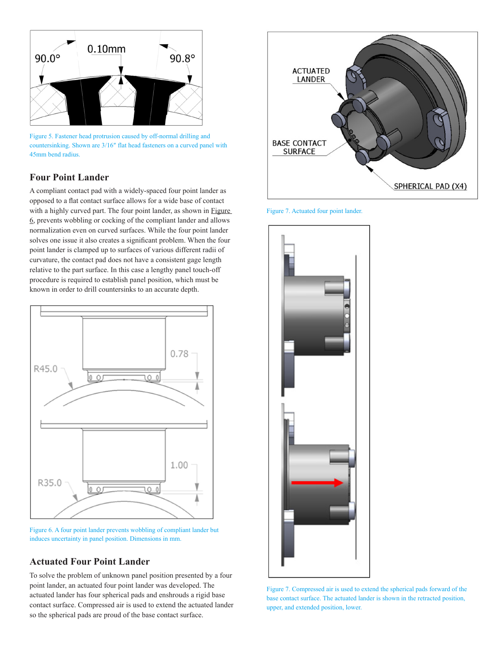

Figure 5. Fastener head protrusion caused by off-normal drilling and countersinking. Shown are 3/16″ flat head fasteners on a curved panel with 45mm bend radius.

# **Four Point Lander**

A compliant contact pad with a widely-spaced four point lander as opposed to a flat contact surface allows for a wide base of contact with a highly curved part. The four point lander, as shown in [Figure](#page-2-0)  [6](#page-2-0), prevents wobbling or cocking of the compliant lander and allows normalization even on curved surfaces. While the four point lander solves one issue it also creates a significant problem. When the four point lander is clamped up to surfaces of various different radii of curvature, the contact pad does not have a consistent gage length relative to the part surface. In this case a lengthy panel touch-off procedure is required to establish panel position, which must be known in order to drill countersinks to an accurate depth.



<span id="page-2-0"></span>Figure 6. A four point lander prevents wobbling of compliant lander but induces uncertainty in panel position. Dimensions in mm.

# **Actuated Four Point Lander**

To solve the problem of unknown panel position presented by a four point lander, an actuated four point lander was developed. The actuated lander has four spherical pads and enshrouds a rigid base contact surface. Compressed air is used to extend the actuated lander so the spherical pads are proud of the base contact surface.



Figure 7. Actuated four point lander.



Figure 7. Compressed air is used to extend the spherical pads forward of the base contact surface. The actuated lander is shown in the retracted position, upper, and extended position, lower.